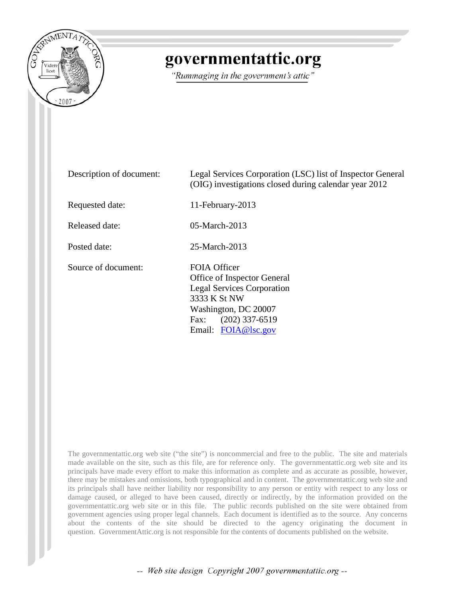

## governmentattic.org

"Rummaging in the government's attic"

| Description of document: | Legal Services Corporation (LSC) list of Inspector General<br>(OIG) investigations closed during calendar year 2012                                                         |
|--------------------------|-----------------------------------------------------------------------------------------------------------------------------------------------------------------------------|
| Requested date:          | 11-February-2013                                                                                                                                                            |
| Released date:           | $05$ -March-2013                                                                                                                                                            |
| Posted date:             | 25-March-2013                                                                                                                                                               |
| Source of document:      | FOIA Officer<br>Office of Inspector General<br><b>Legal Services Corporation</b><br>3333 K St NW<br>Washington, DC 20007<br>$(202)$ 337-6519<br>Fax:<br>Email: FOIA@lsc.gov |

The governmentattic.org web site ("the site") is noncommercial and free to the public. The site and materials made available on the site, such as this file, are for reference only. The governmentattic.org web site and its principals have made every effort to make this information as complete and as accurate as possible, however, there may be mistakes and omissions, both typographical and in content. The governmentattic.org web site and its principals shall have neither liability nor responsibility to any person or entity with respect to any loss or damage caused, or alleged to have been caused, directly or indirectly, by the information provided on the governmentattic.org web site or in this file. The public records published on the site were obtained from government agencies using proper legal channels. Each document is identified as to the source. Any concerns about the contents of the site should be directed to the agency originating the document in question. GovernmentAttic.org is not responsible for the contents of documents published on the website.

-- Web site design Copyright 2007 governmentattic.org --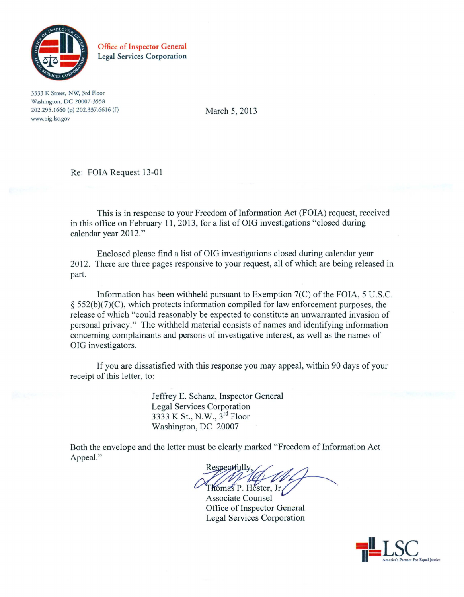

Office of Inspector General Legal Services Corporation

3333 K Street, NW; 3rd Floor Washington, DC 20007-3558 202.295.1660 (p) 202.337.6616 (f) www.oig.lsc.gov

March 5, 2013

Re: FOIA Request 13-01

This is in response to your Freedom of Information Act (FOIA) request, received in this office on February 11 , 2013, for a list of OIG investigations "closed during calendar year 2012."

Enclosed please find a list of OIG investigations closed during calendar year 2012. There are three pages responsive to your request, all of which are being released in part.

Information has been withheld pursuant to Exemption 7(C) of the FOIA, 5 U.S.C.  $§$  552(b)(7)(C), which protects information compiled for law enforcement purposes, the release of which "could reasonably be expected to constitute an unwarranted invasion of personal privacy." The withheld material consists of names and identifying information concerning complainants and persons of investigative interest, as well as the names of OIG investigators.

If you are dissatisfied with this response you may appeal, within 90 days of your receipt of this letter, to:

> Jeffrey E. Schanz, Inspector General Legal Services Corporation 3333 K St., N.W., 3<sup>rd</sup> Floor Washington, DC 20007

Both the envelope and the letter must be clearly marked "Freedom of Information Act Appeal."<br>
Respectfully,<br>
Thomas P. Hester, Jr.<br>
Associate Counsel Appeal."

N.W.,  $3^{10}$  Floor<br>
ust be clearly marked "Freedom of Information Act<br>
Respectfully,<br>
Thomas P. Hester, Jr.<br>
Associate Counsel Thomas P. Hester, Jr.

Office of Inspector General Associate Counsel Legal Services Corporation

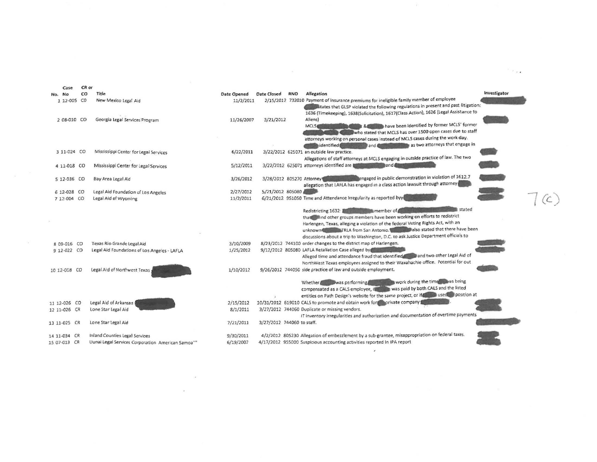|  | Case         | CR or |                                                                            |                        |                            |            |                                                                                                                                                         |             |
|--|--------------|-------|----------------------------------------------------------------------------|------------------------|----------------------------|------------|---------------------------------------------------------------------------------------------------------------------------------------------------------|-------------|
|  | No. No       | CO    | Title                                                                      | Date Opened            | Date Closed                | <b>RNO</b> | Investigator<br>Allegation                                                                                                                              |             |
|  | 1 12-005 CO  |       | New Mexico Legal Aid                                                       | 11/2/2011              |                            |            | 2/15/2012 732010 Payment of insurance premiums for ineligible family member of employee                                                                 |             |
|  |              |       |                                                                            |                        |                            |            | tates that GLSP violated the following regulations in present and past litigation:                                                                      |             |
|  |              |       |                                                                            |                        |                            |            | 1636 (Timekeeping), 1638(Solicitation), 1617(Class Action), 1626 (Legal Assistance to                                                                   |             |
|  | 2 08-010 CO  |       | Georgia Legal Services Program                                             | 11/26/2007             | 3/21/2012                  |            | Aliens)                                                                                                                                                 |             |
|  |              |       |                                                                            |                        |                            |            | have been identified by former MCLS' former<br>MCLS<br>who stated that MCLS has over 1500 open cases due to staff                                       |             |
|  |              |       |                                                                            |                        |                            |            | attorneys working on personal cases instead of MCLS cases during the work day.                                                                          |             |
|  |              |       |                                                                            |                        |                            |            | as two attorneys that engage in<br>dentified<br>and &                                                                                                   |             |
|  | 3 11-024 CO  |       | Mississippi Center for Legal Services                                      | 6/22/2011              |                            |            | 3/22/2012 625071 an outside law practice.                                                                                                               |             |
|  |              |       |                                                                            |                        |                            |            | Allegations of staff attorneys at MCLS engaging in outside practice of law. The two                                                                     |             |
|  | 4 11-018 CO  |       | Mississippi Center for Legal Services                                      | 5/12/2011              |                            |            | 3/22/2012 625071 attorneys identified are<br>and <b>f</b>                                                                                               |             |
|  |              |       |                                                                            |                        |                            |            |                                                                                                                                                         |             |
|  | 5 12-036 CO  |       | Bay Area Legal Aid                                                         | 3/26/2012              | 3/28/2012 805270 Attorney  |            | engaged in public demonstration in violation of 1612.7                                                                                                  |             |
|  |              |       |                                                                            |                        |                            |            | allegation that LAFLA has engaged in a class action lawsuit through attorney                                                                            |             |
|  | 6 12-028 CO  |       | Legal Aid Foundation of Los Angeles                                        | 2/27/2012              | 5/21/2012 805080           |            |                                                                                                                                                         |             |
|  | 7 12-004 CO  |       | Legal Aid of Wyoming                                                       | 11/2/2011              |                            |            | 6/21/2012 951050 Time and Attendance Irregularity as reported byyi                                                                                      | $(\subset)$ |
|  |              |       |                                                                            |                        |                            |            |                                                                                                                                                         |             |
|  |              |       |                                                                            |                        |                            |            | stated<br>Redistricting 1632 Manual Premium member of                                                                                                   |             |
|  |              |       |                                                                            |                        |                            |            | that and other groups members have been working on efforts to redistrict                                                                                |             |
|  |              |       |                                                                            |                        |                            |            | Harlengen, Texas, alleging a violation of the federal Voting Rights Act, with an                                                                        |             |
|  |              |       |                                                                            |                        |                            |            | unknown TRLA from San Antonio. The also stated that there have been                                                                                     |             |
|  |              |       |                                                                            |                        |                            |            | discussions about a trip to Washington, D.C. to ask Justice Department officials to<br>8/23/2012 744100 order changes to the district map of Harlengen. |             |
|  | 8 09-016 CO  |       | Texas Rio Grande Legal Aid<br>Legal Aid Foundations of Los Angeles - LAFLA | 3/10/2009<br>1/25/2012 |                            |            | 9/12/2012 805080 LAFLA Retaliation Case alleged by                                                                                                      |             |
|  | 9 12-022 CO  |       |                                                                            |                        |                            |            | Alleged time and attendance fraud that identified. The band two other Legal Aid of                                                                      |             |
|  |              |       |                                                                            |                        |                            |            | NorthWest Texas employees assigned to their Waxahachie office. Potential for out                                                                        |             |
|  | 10 12-008 CO |       | Legal Aid of Northwest Texas                                               | 1/10/2012              |                            |            | 9/26/2012 744050 side practice of law and outside employment.                                                                                           |             |
|  |              |       |                                                                            |                        |                            |            |                                                                                                                                                         |             |
|  |              |       |                                                                            |                        |                            |            | work during the time was being<br>Whether was performing                                                                                                |             |
|  |              |       |                                                                            |                        |                            |            | was paid by both CALS and the listed<br>compensated as a CALS employee, if                                                                              |             |
|  |              |       |                                                                            |                        |                            |            | entities on Path Design's website for the same project, or if the used position at                                                                      |             |
|  | 11 12-026 CO |       | Legal Aid of Arkansas                                                      | 2/15/2012              |                            |            | 10/31/2012 619010 CALS to promote and obtain work for a private company                                                                                 |             |
|  | 12 11-026 CR |       | Lone Star Legal Aid                                                        | 8/1/2011               |                            |            | 3/27/2012 744060 Duplicate or missing vendors.                                                                                                          |             |
|  |              |       |                                                                            |                        |                            |            | IT inventory irregularities and authorization and documentation of overtime payments                                                                    |             |
|  | 13 11-025 CR |       | Lone Star Legal Aid                                                        | 7/21/2011              | 3/27/2012 744060 to staff. |            |                                                                                                                                                         |             |
|  |              |       |                                                                            |                        |                            |            |                                                                                                                                                         |             |
|  | 14 11-034 CR |       | <b>Inland Counties Legal Services</b>                                      | 9/30/2011              |                            |            | 4/2/2012 805230 Allegation of embezzlement by a sub-grantee, misappropriation on federal taxes.                                                         |             |
|  | 15 07-013 CR |       | Uunai Legal Services Corporation American Samoa""                          | 6/19/2007              |                            |            | 4/17/2012 955000 Suspicious accounting activities reported in IPA report                                                                                |             |
|  |              |       |                                                                            |                        |                            |            |                                                                                                                                                         |             |
|  |              |       |                                                                            |                        |                            |            |                                                                                                                                                         |             |
|  |              |       |                                                                            |                        |                            |            |                                                                                                                                                         |             |

 $\label{eq:3.1} \langle \theta^{(i)} \rangle = \langle \theta^{(i)} \rangle = \langle \theta^{(i)} \rangle = \langle \theta^{(i)} \rangle = \langle \theta^{(i)} \rangle = \langle \theta^{(i)} \rangle = \langle \theta^{(i)} \rangle = \langle \theta^{(i)} \rangle = \langle \theta^{(i)} \rangle = \langle \theta^{(i)} \rangle = \langle \theta^{(i)} \rangle = \langle \theta^{(i)} \rangle = \langle \theta^{(i)} \rangle = \langle \theta^{(i)} \rangle = \langle \theta^{(i)} \rangle = \langle \theta^{(i)} \rangle = \langle \theta^{(i)} \rangle = \langle \theta^{(i)} \rangle = \langle \theta^{(i)} \rangle = \langle$  $\mathbf{R}_{\mathrm{B}}$  . The set of the set of the set of the set of the set of the set of the set of the set of the set of the set of the set of the set of the set of the set of the set of the set of the set of the set of the set

 $\mathbf{Y}^{(i)}$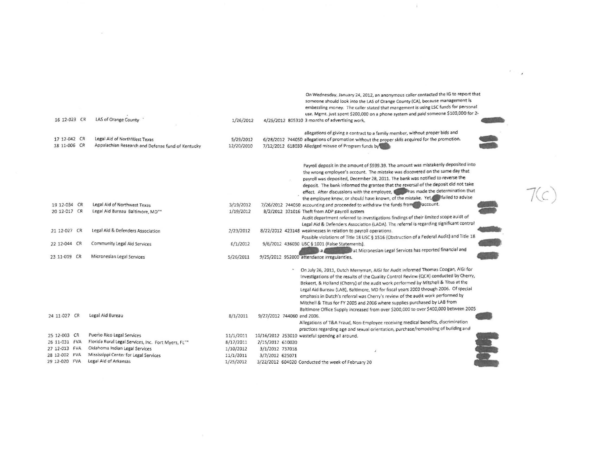| 16 12-023 CR  | LAS of Orange County                                | 1/26/2012  |                            | On Wednesday, January 24, 2012, an anonymous caller contacted the IG to report that<br>someone should look into the LAS of Orange County (CA), because management is<br>embezzling money. The caller stated that mangement is using LSC funds for personal<br>use. Mgmt. just spent \$200,000 on a phone system and paid someone \$100,000 for 2-                                                                                                                                                                                                                                                                  |  |
|---------------|-----------------------------------------------------|------------|----------------------------|--------------------------------------------------------------------------------------------------------------------------------------------------------------------------------------------------------------------------------------------------------------------------------------------------------------------------------------------------------------------------------------------------------------------------------------------------------------------------------------------------------------------------------------------------------------------------------------------------------------------|--|
|               |                                                     |            |                            | 4/25/2012 805310 3 months of advertising work.                                                                                                                                                                                                                                                                                                                                                                                                                                                                                                                                                                     |  |
|               |                                                     |            |                            | allegations of giving a contract to a family member, without proper bids and                                                                                                                                                                                                                                                                                                                                                                                                                                                                                                                                       |  |
| 17 12-042 CR  | Legal Aid of NorthWest Texas                        | 5/29/2012  |                            | 6/28/2012 744050 allegations of promotion without the proper skils acquired for the promotion.                                                                                                                                                                                                                                                                                                                                                                                                                                                                                                                     |  |
| 18 11-006 CR  | Appalachian Research and Defense fund of Kentucky   | 12/20/2010 |                            | 7/12/2012 618030 Alledged misuse of Program funds by                                                                                                                                                                                                                                                                                                                                                                                                                                                                                                                                                               |  |
|               |                                                     |            |                            | Payroll deposit in the amount of \$939.39. The amount was mistakenly deposited into<br>the wrong employee's account. The mistake was discovered on the same day that<br>payroll was deposited, December 28, 2011. The bank was notified to reverse the<br>deposit. The bank informed the grantee that the reversal of the deposit did not take<br>effect. After discussions with the employee, the has made the determination that<br>the employee knew, or should have known, of the mistake. Yet, failed to advise                                                                                               |  |
| 19 12-034 CR  | Legal Aid of Northwest Texas                        | 3/19/2012  |                            | 7/26/2012 744050 accounting and proceeded to withdraw the funds from account.                                                                                                                                                                                                                                                                                                                                                                                                                                                                                                                                      |  |
| 20 12-017 CR  | Legal Aid Bureau Baltimore, MD""                    | 1/19/2012  |                            | 8/2/2012 321016 Theft from ADP payroll system<br>Audit department referred to investigations findings of their limited scope auidt of<br>Legal Aid & Defenders Association (LADA). The referral is regarding significant control                                                                                                                                                                                                                                                                                                                                                                                   |  |
| 21 12-027 CR  | Legal Aid & Defenders Association                   | 2/23/2012  |                            | 8/22/2012 423148 weaknesses in relation to payroll operations.<br>Possible violations of Title 18 USC § 1516 (Obstruction of a Federal Audit) and Title 18                                                                                                                                                                                                                                                                                                                                                                                                                                                         |  |
| 22 12-044 CR  | Community Legal Aid Services                        | 6/1/2012   |                            | 9/6/2012 436030 USC § 1001 (False Statements).<br>at Micronesian Legal Services has reported financial and                                                                                                                                                                                                                                                                                                                                                                                                                                                                                                         |  |
| 23 11-019 CR  | Micronesian Legal Services                          | 5/26/2011  |                            | 9/25/2012 952000 attendance irregularities.                                                                                                                                                                                                                                                                                                                                                                                                                                                                                                                                                                        |  |
|               |                                                     |            |                            | On July 26, 2011, Dutch Merryman, AIGI for Audit informed Thomas Coogan, AIGI for<br>Investigations of the results of the Quality Control Review (QCR) conducted by Cherry,<br>Bekaert, & Holland (Cherry) of the audit work performed by Mitchell & Titus at the<br>Legal Aid Bureau (LAB), Baltimore, MD for fiscal years 2003 through 2006. Of special<br>emphasis in Dutch's referral was Cherry's review of the audit work performed by<br>Mitchell & Titus for FY 2005 and 2006 where supplies purchased by LAB from<br>Baltimore Office Supply increased from over \$200,000 to over \$400,000 between 2005 |  |
| 24 11-027 CR  | Legal Aid Bureau                                    | 8/1/2011   | 9/27/2012 744060 and 2006. | Allegations of T&A Fraud, Non-Employee receiving medical benefits, discrimination                                                                                                                                                                                                                                                                                                                                                                                                                                                                                                                                  |  |
| 25 12-003 CR  | Puerto Rico Legal Services                          | 11/1/2011  |                            | practices regarding age and sexual orientation, purchase/remodeling of building and<br>10/16/2012 253010 wasteful spendng all around.                                                                                                                                                                                                                                                                                                                                                                                                                                                                              |  |
| 26 11-031 FVA | Florida Rural Legal Services, Inc. Fort Myers, FL"" | 8/17/2011  | 2/15/2012 610020           |                                                                                                                                                                                                                                                                                                                                                                                                                                                                                                                                                                                                                    |  |
| 27 12-013 FVA | Oklahoma Indian Legal Services                      | 1/10/2012  | 3/1/2012 737018            |                                                                                                                                                                                                                                                                                                                                                                                                                                                                                                                                                                                                                    |  |
| 28 12-002 FVA | Mississippi Center for Legal Services               | 11/1/2011  | 3/7/2012 625071            |                                                                                                                                                                                                                                                                                                                                                                                                                                                                                                                                                                                                                    |  |
| 29 12-020 FVA | Legal Aid of Arkansas                               | 1/25/2012  |                            | 3/22/2012 604020 Conducted the week of February 20                                                                                                                                                                                                                                                                                                                                                                                                                                                                                                                                                                 |  |
|               |                                                     |            |                            |                                                                                                                                                                                                                                                                                                                                                                                                                                                                                                                                                                                                                    |  |

 $\sim 100$ 

 $\mathcal{E} = \mathcal{L}$ 

 $\widetilde{R}$